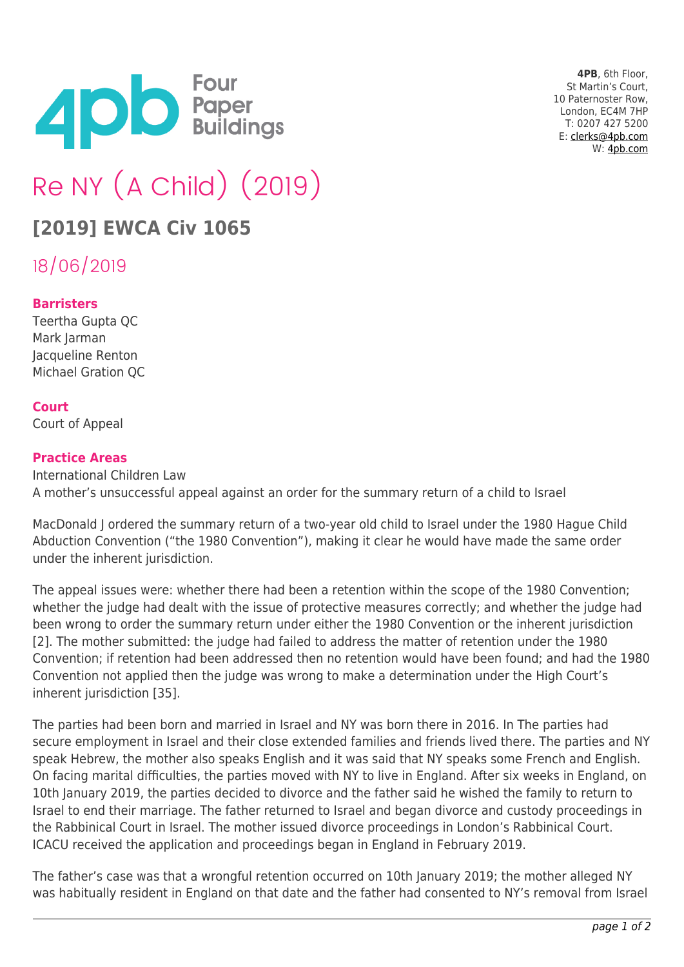

**4PB**, 6th Floor, St Martin's Court, 10 Paternoster Row, London, EC4M 7HP T: 0207 427 5200 E: [clerks@4pb.com](mailto:clerks@4pb.com) W: [4pb.com](http://4pb.com)

# Re NY (A Child) (2019)

## **[2019] EWCA Civ 1065**

18/06/2019

#### **Barristers**

Teertha Gupta QC Mark Jarman Jacqueline Renton Michael Gration QC

#### **Court**

Court of Appeal

#### **Practice Areas**

International Children Law A mother's unsuccessful appeal against an order for the summary return of a child to Israel

MacDonald J ordered the summary return of a two-year old child to Israel under the 1980 Hague Child Abduction Convention ("the 1980 Convention"), making it clear he would have made the same order under the inherent jurisdiction.

The appeal issues were: whether there had been a retention within the scope of the 1980 Convention; whether the judge had dealt with the issue of protective measures correctly; and whether the judge had been wrong to order the summary return under either the 1980 Convention or the inherent jurisdiction [2]. The mother submitted: the judge had failed to address the matter of retention under the 1980 Convention; if retention had been addressed then no retention would have been found; and had the 1980 Convention not applied then the judge was wrong to make a determination under the High Court's inherent jurisdiction [35].

The parties had been born and married in Israel and NY was born there in 2016. In The parties had secure employment in Israel and their close extended families and friends lived there. The parties and NY speak Hebrew, the mother also speaks English and it was said that NY speaks some French and English. On facing marital difficulties, the parties moved with NY to live in England. After six weeks in England, on 10th January 2019, the parties decided to divorce and the father said he wished the family to return to Israel to end their marriage. The father returned to Israel and began divorce and custody proceedings in the Rabbinical Court in Israel. The mother issued divorce proceedings in London's Rabbinical Court. ICACU received the application and proceedings began in England in February 2019.

The father's case was that a wrongful retention occurred on 10th January 2019; the mother alleged NY was habitually resident in England on that date and the father had consented to NY's removal from Israel